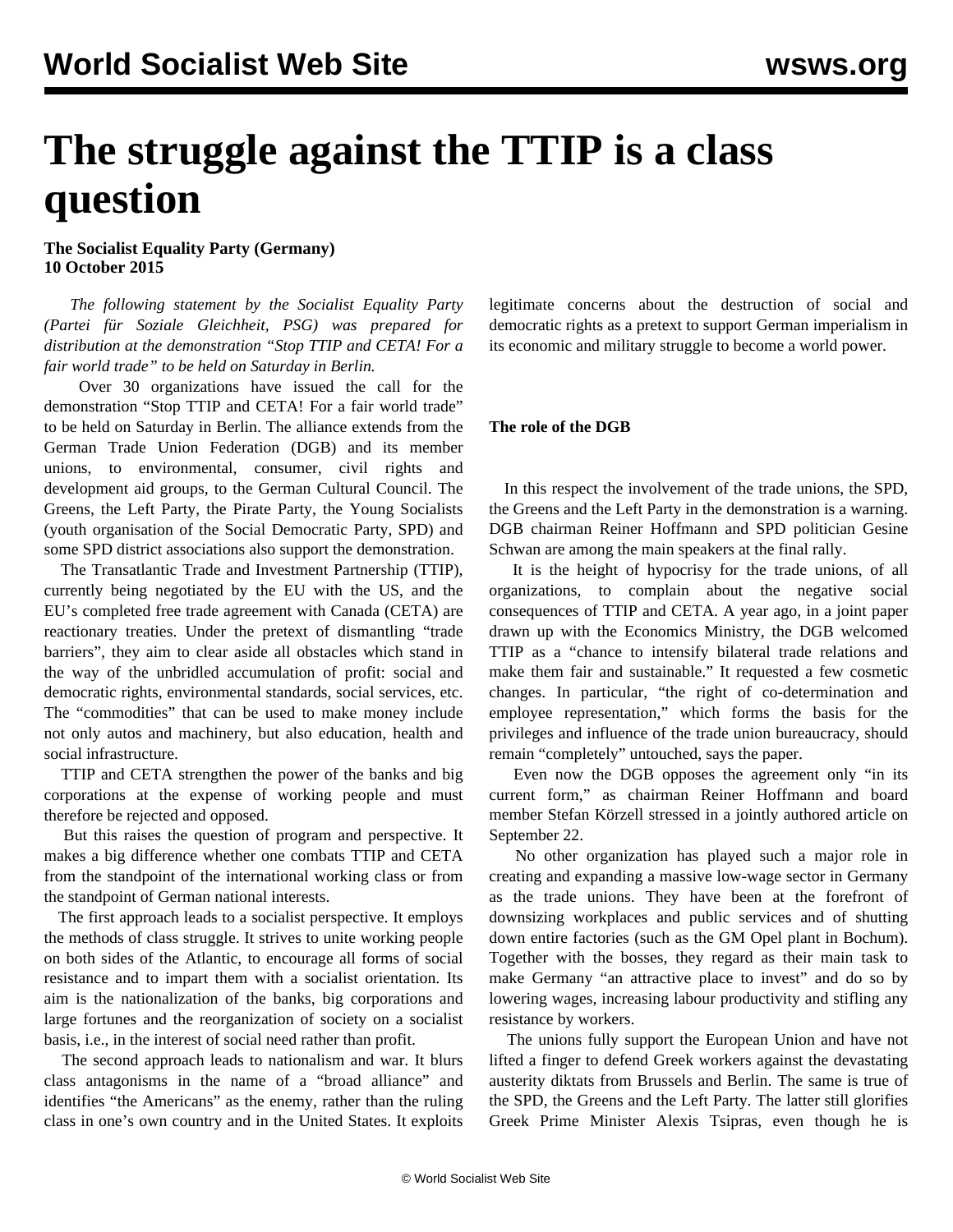## **The struggle against the TTIP is a class question**

**The Socialist Equality Party (Germany) 10 October 2015**

 *The following statement by the Socialist Equality Party (Partei für Soziale Gleichheit, PSG) was prepared for distribution at the demonstration "Stop TTIP and CETA! For a fair world trade" to be held on Saturday in Berlin.*

 Over 30 organizations have issued the call for the demonstration "Stop TTIP and CETA! For a fair world trade" to be held on Saturday in Berlin. The alliance extends from the German Trade Union Federation (DGB) and its member unions, to environmental, consumer, civil rights and development aid groups, to the German Cultural Council. The Greens, the Left Party, the Pirate Party, the Young Socialists (youth organisation of the Social Democratic Party, SPD) and some SPD district associations also support the demonstration.

 The Transatlantic Trade and Investment Partnership (TTIP), currently being negotiated by the EU with the US, and the EU's completed free trade agreement with Canada (CETA) are reactionary treaties. Under the pretext of dismantling "trade barriers", they aim to clear aside all obstacles which stand in the way of the unbridled accumulation of profit: social and democratic rights, environmental standards, social services, etc. The "commodities" that can be used to make money include not only autos and machinery, but also education, health and social infrastructure.

 TTIP and CETA strengthen the power of the banks and big corporations at the expense of working people and must therefore be rejected and opposed.

 But this raises the question of program and perspective. It makes a big difference whether one combats TTIP and CETA from the standpoint of the international working class or from the standpoint of German national interests.

 The first approach leads to a socialist perspective. It employs the methods of class struggle. It strives to unite working people on both sides of the Atlantic, to encourage all forms of social resistance and to impart them with a socialist orientation. Its aim is the nationalization of the banks, big corporations and large fortunes and the reorganization of society on a socialist basis, i.e., in the interest of social need rather than profit.

 The second approach leads to nationalism and war. It blurs class antagonisms in the name of a "broad alliance" and identifies "the Americans" as the enemy, rather than the ruling class in one's own country and in the United States. It exploits legitimate concerns about the destruction of social and democratic rights as a pretext to support German imperialism in its economic and military struggle to become a world power.

## **The role of the DGB**

 In this respect the involvement of the trade unions, the SPD, the Greens and the Left Party in the demonstration is a warning. DGB chairman Reiner Hoffmann and SPD politician Gesine Schwan are among the main speakers at the final rally.

 It is the height of hypocrisy for the trade unions, of all organizations, to complain about the negative social consequences of TTIP and CETA. A year ago, in a joint paper drawn up with the Economics Ministry, the DGB welcomed TTIP as a "chance to intensify bilateral trade relations and make them fair and sustainable." It requested a few cosmetic changes. In particular, "the right of co-determination and employee representation," which forms the basis for the privileges and influence of the trade union bureaucracy, should remain "completely" untouched, says the paper.

 Even now the DGB opposes the agreement only "in its current form," as chairman Reiner Hoffmann and board member Stefan Körzell stressed in a jointly authored article on September 22.

 No other organization has played such a major role in creating and expanding a massive low-wage sector in Germany as the trade unions. They have been at the forefront of downsizing workplaces and public services and of shutting down entire factories (such as the GM Opel plant in Bochum). Together with the bosses, they regard as their main task to make Germany "an attractive place to invest" and do so by lowering wages, increasing labour productivity and stifling any resistance by workers.

 The unions fully support the European Union and have not lifted a finger to defend Greek workers against the devastating austerity diktats from Brussels and Berlin. The same is true of the SPD, the Greens and the Left Party. The latter still glorifies Greek Prime Minister Alexis Tsipras, even though he is